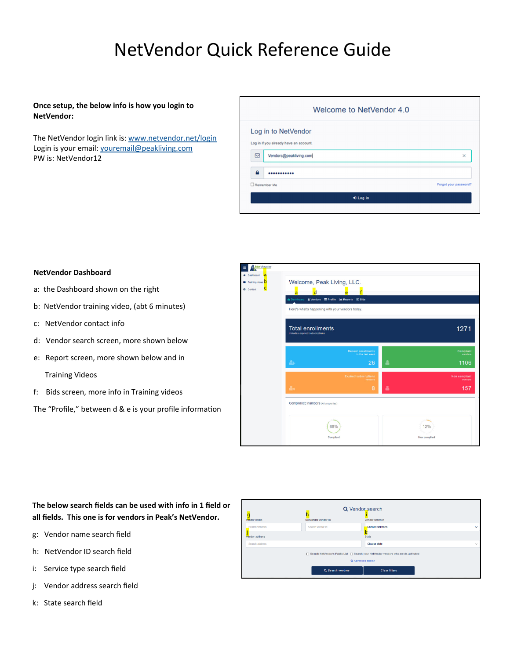# NetVendor Quick Reference Guide

# **Once setup, the below info is how you login to NetVendor:**

The NetVendor login link is: www.netvendor.net/login Login is your email: youremail@peakliving.com PW is: NetVendor12

|              | Welcome to NetVendor 4.0               |                       |
|--------------|----------------------------------------|-----------------------|
|              | Log in to NetVendor                    |                       |
|              | Log in if you already have an account. |                       |
| ⊠            | Vendors@peakliving.com                 | ×                     |
| $\mathbf{a}$ |                                        |                       |
| Remember Me  |                                        | Forgot your password? |
|              | +9 Log in                              |                       |
|              |                                        |                       |

### **NetVendor Dashboard**

- a: the Dashboard shown on the right
- b: NetVendor training video, (abt 6 minutes)
- c: NetVendor contact info
- d: Vendor search screen, more shown below
- e: Report screen, more shown below and in

Training Videos

f: Bids screen, more info in Training videos

The "Profile," between d & e is your profile information



# **The below search fields can be used with info in 1 field or all fields. This one is for vendors in Peak's NetVendor.**

- g: Vendor name search field
- h: NetVendor ID search field
- i: Service type search field
- j: Vendor address search field
- k: State search field

| Q Vendor search<br>Vendor name<br>NetVendor vendor ID<br>Vendor services |                                                                                                            |                      |              |  |  |  |
|--------------------------------------------------------------------------|------------------------------------------------------------------------------------------------------------|----------------------|--------------|--|--|--|
| Search vendors                                                           | Search vendor id                                                                                           | Choose services      | $\checkmark$ |  |  |  |
| Vendor address                                                           |                                                                                                            | <b>State</b>         |              |  |  |  |
| Search address                                                           |                                                                                                            | Choose state         | $\sim$       |  |  |  |
|                                                                          | □ Search NetVendor's Public List □ Search your NetVendor vendors who are de-activated<br>Q Advanced search |                      |              |  |  |  |
|                                                                          | Q Search vendors                                                                                           | <b>Clear filters</b> |              |  |  |  |